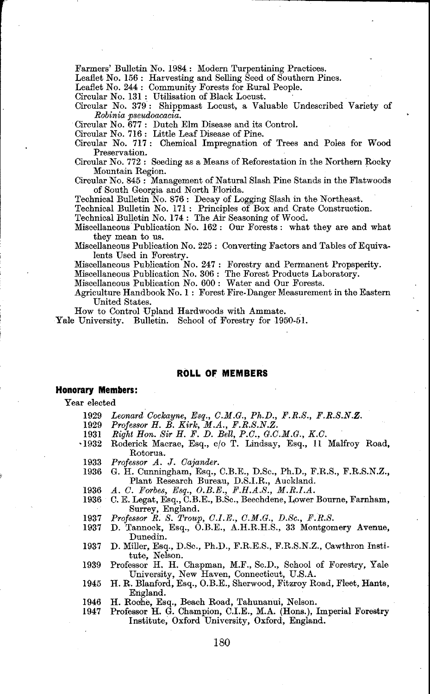Farmers' Bulletin No. **1984** : Modern Turpentining Practices.

Leaflet No. 156 : Harvesting and Selling Seed of Southern Pines.

Leaflet No. **244** : Community Forests for Rural People.

Circular No. **131** : Utilisation of Black Locust.

Circular No. **379** : Shippmast Locust, a Valuable Undescribed Variety of *Robinia pseudoacacia.*  Circular No. **677** : Dutch Elm Disease and its Control.

Circular No. **716** : Little Leaf Disease of Pine.

Circular No. 717: Chemical Impregnation of Trees and Poles for Wood Preservation.

Circular No. **772** : Seeding as a Means of Reforestation in the Northern Rocky Mountain Region.

Circular No. **845** : Management of Natural Slash Pine Stands in the Flatwoods of South Georgia and North Florida.

Technical Bulletin No. **876** : Decay of Logging Slash in the Northeast.

Technical Bulletin No. **171** : Principles of Box and Crate Construction. Technical Bulletin No. **174** : The Air Seasoning of Wood.

Miscellaneous Publication No. **162** : Our Forests : what they are and what

they mean to us. Miscellaneous Publication No. **225** : Converting Factors and Tables of Equivalents Used in Forestry.

Miscellaneous Publication No. **247** : Forestry and Permanent Propsperity.

Miscellaneous Publication No. **306** : The Forest Products Laboratory.

Miscellaneous Publication No. **600** : Water and Our Forests.

Agriculture Handbook No. **1** : Forest Fire-Danger Measurement in the Eastern United States.

How to Control Upland Hardwoods with Ammate.

Yale University. Bulletin. School of Forestry for **1950-51.** 

# **ROLL OF MEMBERS**

# **Honorary Members:**

Year elected

- 1929 *Leonard Cockayne, Esq., C.M.G., Ph.D., F.R.S., F.R.S.N.Z. Professor H. B. Kirk, M.A., F.R.S.N.Z. Right Hon. Sir H. F. D. Bell, P.C., G.C.M.G., K.C.*
- 1929
- 1931
- $-1932$ Roderick Macrae, Esq., c/o T. Lindsay, Esq., 11 Malfroy Road, Rotorua.
- 1933 *Professor A. J. Cajander.*
- 1936 G. H. Cunningham, Esq., C.B.E., D.Sc., Ph.D., F.R.S., F.R.S.N.Z., Plant Research Bureau, D.S.I.R., Auckland.
- 1936
- *A. C. Forbes, Esq., O.B.E., F.H.A.S., M.R.I.A.*  C. E. Legat, Esq., C.B.E., B.Sc., Beechdene, Lower Bourne, Farnham, 1936 Surrey, England. *Professor R. S. Troup, C.I.E., C.M.G., D.Sc., F.R.S.*
- 1937
- 1937 D. Tannock, Esq., O.B.E., A.H.R.H.S., **33** Montgomery Avenue, Dunedin.
- 1937 D. Miller, Esq., D.Sc., Ph.D., F.R.E.S., F.R.S.N.Z., Cawthron Institute, Nelson.<br>Professor H. H. Chapman, M.F., Sc.D., School of Forestry, Yale
- 1939 University, New Haven, Connecticut, U.S.A.
- 1945 H. R. Blanford, Esq., O.B.E., Sherwood, Fitzroy Road, Fleet, Hants, England.
- 1946
- H. Roohe, Esq., Beach Road, Tahunanui, Nelson. Professor H. *G.* Champion, C.I.E., M.A. (Hans.), Imperial Forestry 1947 Institute, Oxford University, Oxford, England.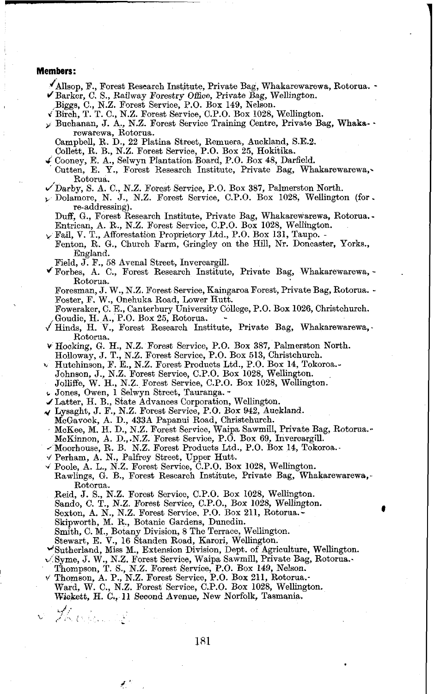### **Members:**

- Allsop, F., Forest Research Institute. Private Bag, Whakarewarewa, Rotorua. -<br>Barker, C. S., Railway Forestry Office, Private Bag, Wellington.<br>Bington. C. N.Z. Farcet Service, D.O. Beg, 140, Nelson.
- 
- Biggs, C., N.Z. Forest Service, P.O. Box **149,** Nelson.
- d'~irch, T. T. C., N.Z. Forest Service, C.P.O. Box **1028,** Wellington. **r** Buchanan. J. A., N.Z. Forest Service Training Centre, Private Bag, Whaks- rewarewa, Rotorua. -
	- Campbell, R. D., **22** Platina Street, Remuera, Auckland, **S.E.2.**
	-
- Collett, R. B., N.Z. Forest Service, P.O. Box **25,** Hokitika. < Cooney, E. A., Selwyn Plantation Board, P.O. Box **48,** Darfield. Cutten, E. Y., Forest Research Institute, Private Bag, Whakarewarewa,. Rotorua.
- $\checkmark$  Darby, S. A. C., N.Z. Forest Service, P.O. Box 387, Palmerston North.
- **<sup>p</sup>**Dolamore, N. J., N.Z. Forest Service, C.P.O. Box **1028,** Wellington (for. re-addressing).

Duff, G., Forest Research Institute, Private Bag, Whakarewarewa, Rotorua. - Entrican, A. R., N.Z. Forest Service, C.P.O. Box 1028, Wellington.

- 
- Entrican, A. R., N.Z. Forest Service, C.P.O. Box **1028,** Wellington. r Fail, V. T., Afforestation Proprietory Ltd., P.O. Box **131,** Taupo. Fcnton, R. G., Church Farm, Gringley on the Hill, Nr. Doncaster, Yorks., England.
	- Field, J. F., **58** Avenal Street, Invercargill.
- \$Forbes, **A.** C., Forest Research Institute, Private Bag, Whakarewarewa, Rotorua.

Foresman, J. W., N.Z. Forest Service, Kaingaroa Forest, Private Bag, Rotorua. - Foster, F. W., Onehuka Road, Lower Hutt.

Foweraker, C. E., Canterbury University College, P.O. Box **1026,** Christchurch. Goudie, H. A., P.O. Box **25,** Rotorua. -

- $\sqrt{\frac{1}{10}}$  Hinds, H. V., Forest Research Institute, Private Bag, Whakarewarewa, Rotorua.
- **<sup>v</sup>**Hocking, G. H., N.Z. Forest Service, P.O. Box **387,** Palmerston North. Holloway, J. T., N.Z. Forest Service, P.O. Box **513,** Christchurch.
- 
- **b4** Hutchinson, F. E., N.Z. Forest Products Ltd., P.O. Box **14,** Tokoroa.-
- Johnson, **J.,** N.Z. Forest Service, C.P.O. Box **1028,** Wellington. Jolliffe, W. H., N.Z. Forest Service, C.P.O. Box **1028,** Wellington.
- 
- **r.** Jones, Owen, **1** Selwyn Street, Tauranga. -
- **i** Latter, H. B., State Advances Corporation, Wellington.
- **4** Lysaght, J. F., N.Z. Forest Service, P.O. Box **942,** Auckland. McGavock, A. D., **4338** Papanui Road, Christchurch.
- 
- McKee, M. H. D., N.Z. Forest Service, Waipa Sawmill, Private Bag, Rotorua.-

- McKinnon, A. D.,.N.Z. Forest Service, P.O. Box 69, Invercargill. <br>
Moorhouse, R. B. N.Z. Forest Products Ltd., P.O. Box 14, Tokoroa.-
- 
- **d** Perham, A. N., Palfrey Street, Upper Hutt. **<sup>v</sup>**Poole, A. L., N.Z. Forest Service, C.P.O. Box **1028,** Wellington. Rawlings, G. B., Forest Research Institute, Private Bag, Whakarewarewa,- Rotorua.
	- Reid, J. S., N.Z. Forest Service, C.P.O. Box **1028,** Wellington.
	- Sando, C. T., N.Z. Forest Service, C.P.O., Box **1028,** Wellinpton.
	- Sexton, A. N., N.Z. Forest Service. P.O. Box **211,** Rotorua.- Skipworth, **M.** R., Botanic Gardens, Dunedin.
	-

**L/** . **2.** ,,.\ ( -

- Smith, C. M., Botany Division, **8** The Terrace, Wellington. Stewart, E. V., **16** Standen Road, Karori, Wellington.
- 
- Gutherland, Miss M., Extension Division, Dept. of Agriculture, Wellington.
- **<sup>w</sup>**Syme, J. W., N.Z. Forest Service, Waipa Sawmill, Private Bag, Rotorua..
- 
- Thompson, T. S., N.Z. Forest Service, P.O. Box **149,** Nelson. Thornson, A. P., N.Z. Forest Service, P.O. Box **211,** Rotama.- Ward, W. C., N.Z. Forest Service, C.P.O. Box **1028,** Wellington. Wickett, H. C., 11 Second Avenue, New Norfolk, Tasmania.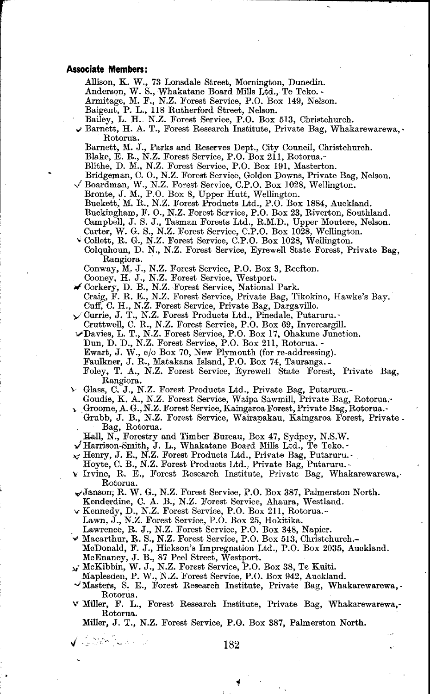#### **Associate Members:**

Allison, K. W., **73** Lonsdale Street, Mornington, Dunedin.

Anderson, W. S., Whakatane Board Mills Ltd., Te Teko. -

- Armitage, M. F., N.Z. Forest Service, P.O. Box **149,** Nelson.
- 

Baigent, P. L., **118** Rutherford Street, Nelson.

Barnett, H. A. T., Forest Research Institute, Private Bag, Whakarewarewa,. Rotorua.

Barnett, M. J., Parks and Reserves Dept., City Council, Christchurch.

Blake, E. R., N.Z. Forest Service, P.O. Box **211,** Rotorua.-

- 
- Blithe, **D.** M., N.Z. Forest Service, P.O. Box **191,** Masterton. Bridgeman, C. O., N.Z. Forest Service, Golden Downs, Private Bag, Nelson. 4 Boardman, W., N.Z. Forest Service, C.P.O. Box **1028,** Wellington.
	-
	- Bronte, J. M., P.O. Box **8,** Upper Hutt, Wellington. Buckett; M. R., N.Z. Forest Products Ltd., P.O. Box **1884,** Auckland.
	-
	- Buckingham, F. O., N.Z. Forest Service, P.O. Box 23, Riverton, Southland.<br>Campbell, J. S. J., Tasman Forests Ltd., R.M.D., Upper Moutere, Nelson.<br>Carter, W. G. S., N.Z. Forest Service, C.P.O. Box 1028, Wellington.<br>Collett,
	-
	-
	- Colquhoun, D. N., N.Z. Forest Service, Eyrewell State Forest, Private Bag, Rangiora.

- 
- Conway, M. J., N.Z. Forest Service, P.O. Box 3, Reefton.<br>Cooney, H. J., N.Z. Forest Service, Westport.<br>Corkery, D. B., N.Z. Forest Service, National Park.<br>Craig, F. R. E., N.Z. Forest Service, Private Bag, Tikokino, Hawke' Cuff, C. H., N.Z. Forest Service, Private Bag, Dargaville.
- Currie, J. T., N.Z. Forest Products Ltd., Pinedale, Putaruru.-
	-
- Cruttwell, C. R., N.Z. Forest Service, P.O. Box **69,** Invercargill. wDavies, L. T., N.Z. Forest Service, P.O. Box **17,** Ohakune Junction.
	-
	- Dun, D. D., N.Z. Forest Service, P.O. Box **211,** Rotorua. Ewart, J. W., c/o Box **70,** New Plymouth (for re-addressing).
	- Faulkner, J. R., Matakana Island, P.O. Box **74,** Tauranga.-

Foley, T. A., N.Z. Forest Service, Eyrewell State Forest, Private Bag, Rangiora.

- **b** Glass, C. J., N.Z. Forest Products Ltd., Private Bag, Putarum.-
	- Gondie, K. A., N.Z. Forest Service, Waipa Sawmill, Private Bag, Rotorua.-
- Groome, A. G., N.Z. Forest Service, Kaingaroa Forest, Private Bag, Rotorua.. Grubb, J. B., N.Z. Forest Service, Wairapakau. Kaingaroa Forest, Private. . Bag, Rotorua.
- &dl, N., Forestry and Timber Bureau, Box **47,** Sydney, N.S.W.
- Harrison-Smith, J. L., Whakatane Board Mills Ltd., Te Teko.-
- **FIGHTSON SHARRY, OF H., WHATHARRY BOULD THIS LEAT, TO FORCE.**
- 
- Hoyte, C. B., N.Z. Forest Products Ltd., Private Bag, Putaruru.<br>
v Irvine, R. E., Forest Research Institute, Private Bag, Whakarewarewa,. Rotorua.
- ~Janson, R. W. G., N.Z. Forest Service, P.O. Box **387,** Palmerston North. Kenderdine, C. A. B., N.Z. Forest Service, Ahaura, Westland.
- **u** Kennedy, D., N.Z. Forest Service, P.O. Box **211,** Rotorua.-
- Lawn, J., N.Z. Forest Service, P.O. Box **25,** Hokitika.

√ ふあや シューラ

- Lawrence, R. J., N.Z. Forest Service, P.O. Box **348,** Napier. **V** Macarthur, R. S., N.Z. Forest Service, P.O. Box **513,** Christchurch.-
	- McDonald, F. J., Hickson's Impregnation Ltd., P.O. Box **2035,** Auckland.
- McEnaney, J. B., **87** Peel Street, Westport. *ur* McKibbin, W. J., N.Z. Forest Service, P.O. Box **38,** Te Kuiti.
	- Maplesden, P. W., N.Z. Forest Service, P.O. Box **942,** Auckland.
- $\checkmark$ Masters, S. E., Forest Research Institute, Private Bag, Whakarewarewa, Rotorua.
- **uP** Miller, F. L., Forest Research Institute, Private Bag, Whakarewarewa,- Rotorua.

Miller, J. T., N.Z. Forest Service, P.O. Box **387,** Palmerston North.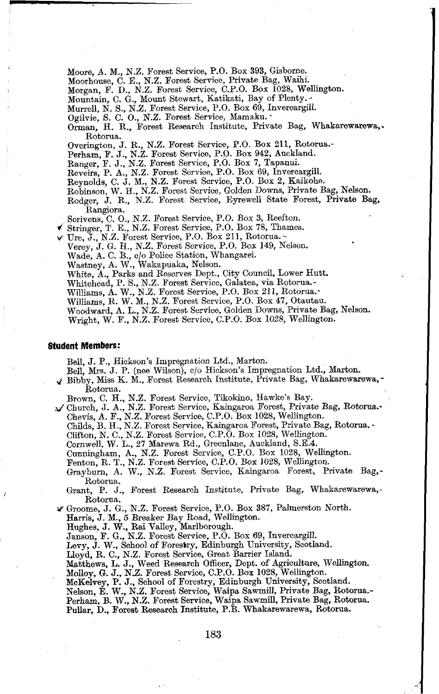Moore, A. M., **N.Z.** Forest Service, P.O. Box **393,** Gisbome.

Moorhouse, C. E., **N.Z.** Forest Service, Private Bag, Waihi.

Morgan, F. D., **N.Z.** Forest Service, C.P.O. Box **1028,** Wellington.

Mountain, C. G., Mount Stewart, Katikati, Bay of Plenty. -

Murrell, **N.** S., **N.Z.** Forest Service, P.O. Box **69,** Invercargill.

OgiIvie, **S.** C. O., **N.Z.** Forest Service, Mamaku..

Orman. H. R., Forest Research Institute, Private Bag, Whakarewarewa,. Rotoma.

Overington, J. R., **N.Z.** Forest Service, P.O. Box **211,** Rotorua.-

Perham, F. J., **N.Z.** Forest Service, P.O. Box **942,** Auckland.

Ranger, F. J., **N.Z.** Forest Service, P.O. Box **7,** Tapanui.

Reveirs, P. A., **N.Z.** Forest Service, P.O. Box **69,** Invercargill.

Reynolds, C. J. M., **N.Z.** Forest Service, P.O. Box **2,** Kaikohe.

Robinson, W. H., N.Z. Forest Service, Golden Downs, Private Bag, Nelson.

Rodger, J. R., **N.Z.** Forest Service, Eyrewell State Forest, Private Bag, Rangiora.

Scrivens, C. O., **N.Z.** Forest Service, P.O. Box **3,** Reefton.

\*' Stringer, T. E., **N.Z.** Forest Service, P.O. Box **78,** Thames. r Ure, J., **N.Z.** Forest Service, P.O. Box **211,** Rotorua. -

Verey, J. G. H., **N.Z.** Forest Service, P.O. Box **149,** Nelson.

Wade, A. C. B., c/o Police Station, Whangarei.

Wastney, A. W., Wakapuaka, Nelson.

White, **A.,** Parks and Reserves Dept., City Council, Lower Hutt.

Whitehead, P. S., **N.Z.** Forest Service, Galatea, via Rotorua.-

Williams, **A.** W., **N.Z.** Forest Service, **P.O.** Box **211,** Rotorua.-

Williams, R. W. M., **N.Z.** Forest Service, P.O. Box **47,** Otautau. Woodward, **A.** L., **N.Z.** Forest Service, Golden Downs, Private Bag, Nelson.

Wright, W. F., **N.Z.** Forest Service, C.P.O. Box **1028,** Wellington.

### **Student Members:**

BeII, J. P., Hickson's Impregnation Ltd., Marton.

Bell, Mrs. J. P. (nee Wilson), c/o Hickson's Impregnation Ltd., Marton.

**g** Bibby, Miss K. M., Forest Research Institute, Private Bag, Whakarewarewa, - Rotoma.

Brown, C. H., **N.Z.** Forest Service, Tikokino, Hawke's Bay. J Church, J. A., **N.Z.** Forest Service, Kaingaroa Forest, Private Bag, Rotorua.-

Chevis, **A.** F., N.Z. Forest Service, C.P.O. Box **1028,** Wellington.

Childs, **B.** H., **N.Z.** Forest Service, Kaingaroa Forest, Private Bag, Rotorua. -

Clifton, **N.** C., **N.Z.** Forest Service, C.P.O. Box **1028,** Wellington.

Cornwell, W. L., **27** Marewa Rd., Greenlane, Auckland, S.E.4.

Cunningham, A., **N.Z.** Forest Service, C.P.O. Box **1028,** Wellington. Penton, R. T., **N.Z.** Forest Service, C.P.O. Box **1028,** Wellington.

Grayburn, A. W., **N.Z.** Forest Service, Kaingaroa Forest, Private Bag,- Rotorua.

Grant, P. J., Forest Research Institute, Private Bag, Whakarewarewa,-Rotoma.

4 Groome, J. G., **N.Z.** Forest Service, P.O. Box **387,** Palmerston North.

Harris, J. M., 5 Breaker Bay Road, Wellington.

Hughes, J. W., Rai Valley, Marlborough. Janson, F. G., **N.Z.** Forest Service, P.O. Box **69,** Invercargill. Levy, J. W., School of Foresbry, Edinburgh University, Scotland.

Lloyd, R. C., **N.Z.** Forest Service, Great Barrier Island.

Natthews, L. J., Weed Research Officer, Dept. of Agriculture, Wellington. Molloy, *G.* J., N.Z. Forest Service, C.P.O. Box **1028,** Wellington.

McKelvey, P. J., School of Forestry, Edinburgh University, Scotland. Nelson, E. W., **N.Z.** Forest Service, Waipa Sawmill, Private Bag, Rotorua.- Perham, B. W., N.Z. Forest Service, Waipa Sawmill, Private Bag, Rotorua. Pullar, D., Forest Research Institute, P.B. Whakarewarewa, Rotorua.